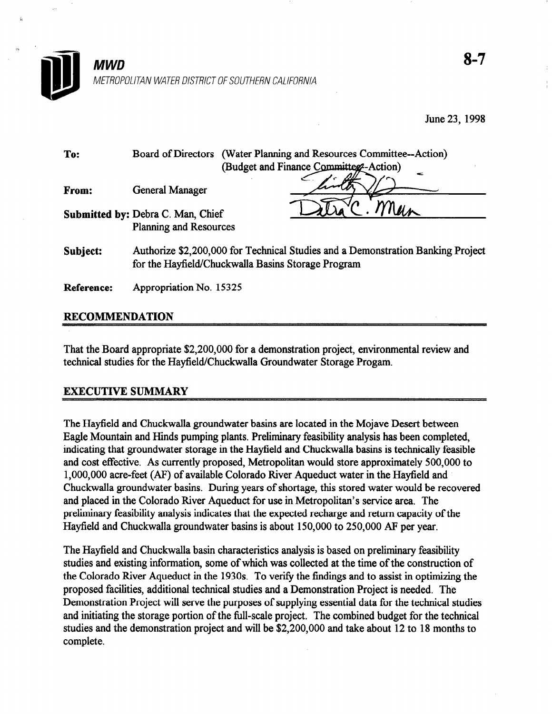

| To:      | (Water Planning and Resources Committee--Action)<br><b>Board of Directors</b><br>(Budget and Finance Committeg-Action)<br>œ           |
|----------|---------------------------------------------------------------------------------------------------------------------------------------|
| From:    | <b>General Manager</b>                                                                                                                |
|          | Submitted by: Debra C. Man, Chief<br><b>Planning and Resources</b>                                                                    |
| Subject: | Authorize \$2,200,000 for Technical Studies and a Demonstration Banking Project<br>for the Hayfield/Chuckwalla Basins Storage Program |

Reference: Appropriation No. 15325

# RECOMMENDATION

That the Board appropriate \$2,200,000 for a demonstration project, environmental review and technical studies for the Hayfield/Chuckwalla Groundwater Storage Progam.

## EXECUTIVE SUMMARY

The Hayfield and Chuckwalla groundwater basins are located in the Mojave Desert between Eagle Mountain and Hinds pumping plants. Preliminary feasibility analysis has been completed, indicating that groundwater storage in the Hayfield and Chuckwalla basins is technically feasible and cost effective. As currently proposed, Metropolitan would store approximately 500,000 to l,OOO,OOO acre-feet (AF) of available Colorado River Aqueduct water in the Hayfield and Chuckwalla groundwater basins. During years of shortage, this stored water would be recovered and placed in the Colorado River Aqueduct for use in Metropolitan's service area. The preliminary feasibility analysis indicates that the expected recharge and return capacity of the Hayfield and Chuckwalla groundwater basins is about 150,000 to 250,000 AF per year.

The Hayfield and Chuckwalla basin characteristics analysis is based on preliminary feasibility studies and existing information, some of which was collected at the time of the construction of the Colorado River Aqueduct in the 1930s. To verify the findings and to assist in optimizing the proposed facilities, additional technical studies and a Demonstration Project is needed. The Demonstration Project will serve the purposes of supplying essential data for the technical studies and initiating the storage portion of the full-scale project. The combined budget for the technical and initiating the storage portion of the fun-scale project. The compiled budget for the technical studios air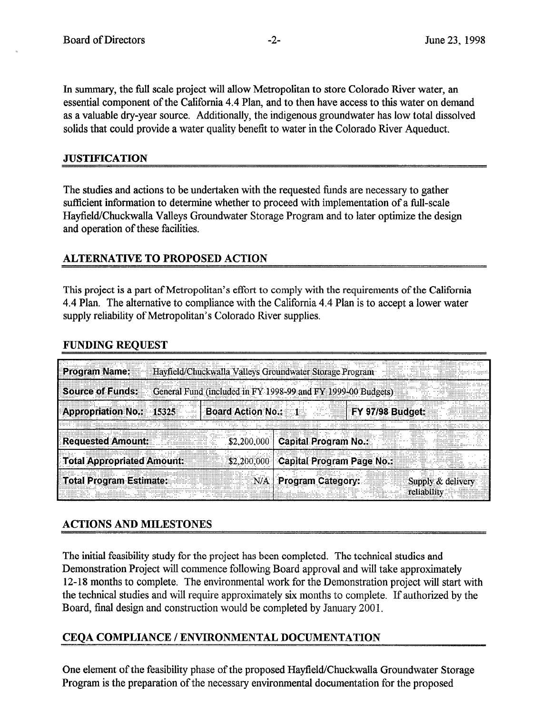In summary, the full scale project will allow Metropolitan to store Colorado River water, an essential component of the California 4.4 Plan, and to then have access to this water on demand as a valuable dry-year source. Additionally, the indigenous groundwater has low total dissolved solids that could provide a water quality benefit to water in the Colorado River Aqueduct.

### **JUSTIFICATION**

The studies and actions to be undertaken with the requested funds are necessary to gather sufficient information to determine whether to proceed with implementation of a full-scale Hayfield/Chuckwalla Valleys Groundwater Storage Program and to later optimize the design and operation of these facilities.

# **ALTERNATIVE TO PROPOSED ACTION**

This project is a part of Metropolitan's effort to comply with the requirements of the California 4.4 Plan. The alternative to compliance with the California 4.4 Plan is to accept a lower water supply reliability of Metropolitan's Colorado River supplies.

# FUNDING REQUEST

| <b>Program Name:</b>            | Hayfield/Chuckwalla Valleys Groundwater Storage Program             |
|---------------------------------|---------------------------------------------------------------------|
| <b>Source of Funds:</b>         | General Fund (included in FY 1998-99 and FY 1999-00 Budgets)        |
| <b>Appropriation No.: 15325</b> | <b>Board Action No.: 1</b><br><b>FY 97/98 Budget:</b>               |
| <b>Requested Amount:</b>        | <br><br><br><br><b>Capital Program No.:</b><br><br>\$2,200,000      |
| Total Appropriated Amount:      | Capital Program Page No.:<br>\$2,200,000                            |
| Total Program Estimate:         | <b>Program Category:</b><br>N/A:<br>Supply & delivery<br>reliabilit |

# ACTIONS AND MILESTONES

The initial feasibility study for the project has been completed. The technical studies and Demonstration Project will commence following Board approval and will take approximately 12-18 months to complete. The environmental work for the Demonstration project will start with the technical studies and will require approximately six months to complete. If authorized by the Board, final design and construction would be completed by January 2001.

# CEOA COMPLIANCE / ENVIRONMENTAL DOCUMENTATION

One element of the feasibility phase of the proposed Hayfield/ChuckwaIla Groundwater Storage Program is the preparation of the necessary environmental documentation for the proposed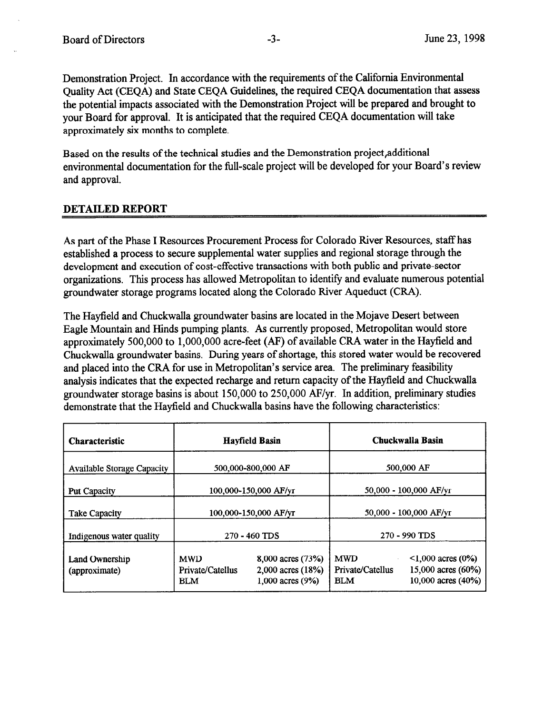Demonstration Project. In accordance with the requirements of the California Environmental Quality Act (CEQA) and State CEQA Guidelines, the required CEQA documentation that assess the potential impacts associated with the Demonstration Project will be prepared and brought to your Board for approval. It is anticipated that the required CEQA documentation will take approximately six months to complete.

Based on the results of the technical studies and the Demonstration project, additional environmental documentation for the full-scale project will be developed for your Board's review and approval.

## DETAILED REPORT

As part of the Phase I Resources Procurement Process for Colorado River Resources, staff has established a process to secure supplemental water supplies and regional storage through the development and execution of cost-effective transactions with both public and private-sector organizations. This process has allowed Metropolitan to identify and evaluate numerous potential groundwater storage programs located along the Colorado River Aqueduct (CRA).

The Hayfield and Chuckwalla groundwater basins are located in the Mojave Desert between Eagle Mountain and Hinds pumping plants. As currently proposed, Metropolitan would store approximately 500,000 to 1,000,000 acre-feet (AF) of available CRA water in the Hayfield and Chuckwalla groundwater basins. During years of shortage, this stored water would be recovered and placed into the CRA for use in Metropolitan's service area. The preliminary feasibility analysis indicates that the expected recharge and return capacity of the Hayfield and Chuckwalla groundwater storage basins is about 150,000 to 250,000 AWyr. In addition, preliminary studies demonstrate that the Hayfield and Chuckwalla basins have the following characteristics:

| <b>Characteristic</b>                  | <b>Hayfield Basin</b>                        |                                                                    | Chuckwalla Basin                             |                                                                     |  |
|----------------------------------------|----------------------------------------------|--------------------------------------------------------------------|----------------------------------------------|---------------------------------------------------------------------|--|
| <b>Available Storage Capacity</b>      | 500,000-800,000 AF                           |                                                                    | 500,000 AF                                   |                                                                     |  |
| <b>Put Capacity</b>                    | 100,000-150,000 AF/yr                        |                                                                    | 50,000 - 100,000 AF/yr                       |                                                                     |  |
| <b>Take Capacity</b>                   | 100,000-150,000 AF/yr                        |                                                                    | 50,000 - 100,000 AF/yr                       |                                                                     |  |
| Indigenous water quality               | 270 - 460 TDS                                |                                                                    | 270 - 990 TDS                                |                                                                     |  |
| <b>Land Ownership</b><br>(approximate) | <b>MWD</b><br>Private/Catellus<br><b>BLM</b> | 8,000 acres (73%)<br>$2,000$ acres $(18%)$<br>$1,000$ acres $(9%)$ | <b>MWD</b><br>Private/Catellus<br><b>BLM</b> | $\leq 1,000$ acres (0%)<br>15,000 acres (60%)<br>10,000 acres (40%) |  |